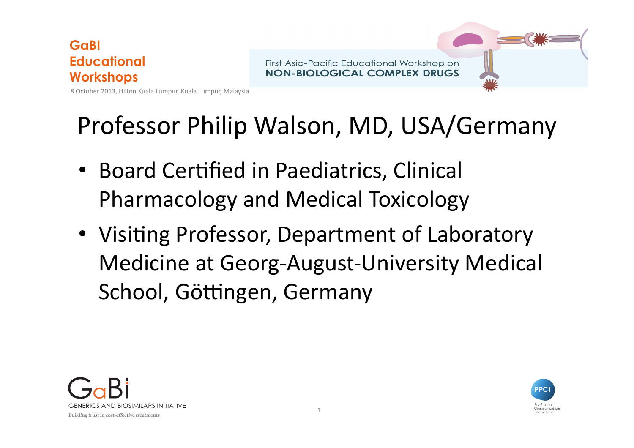

First Asia-Pacific Educational Workshop on **NON-BIOLOGICAL COMPLEX DRUGS** 

Professor Philip Walson, MD, USA/Germany

- Board Certified in Paediatrics, Clinical Pharmacology and Medical Toxicology
- Visiting Professor, Department of Laboratory Medicine at Georg-August-University Medical School, Göttingen, Germany



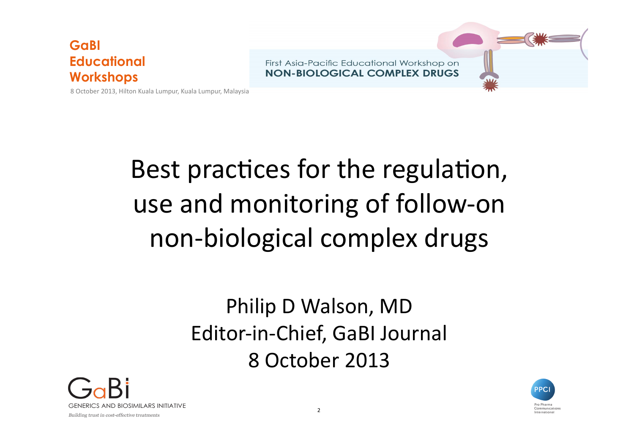First Asia-Pacific Educational Workshop on **NON-BIOLOGICAL COMPLEX DRUGS** 



8 October 2013, Hilton Kuala Lumpur, Kuala Lumpur, Malaysia

# Best practices for the regulation, use and monitoring of follow-on non-biological complex drugs

### Philip D Walson, MD Editor-in-Chief, GaBI Journal 8 October 2013



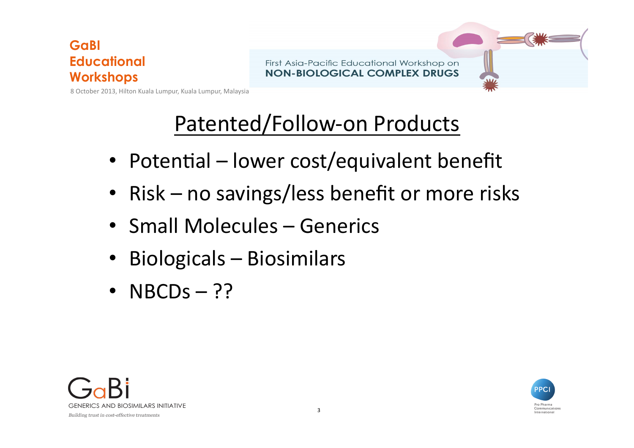First Asia-Pacific Educational Workshop on **NON-BIOLOGICAL COMPLEX DRUGS** 

8 October 2013, Hilton Kuala Lumpur, Kuala Lumpur, Malaysia

### Patented/Follow-on Products

- Potential lower cost/equivalent benefit
- Risk no savings/less benefit or more risks
- Small Molecules Generics
- Biologicals Biosimilars
- NBCDs  $-$  ??



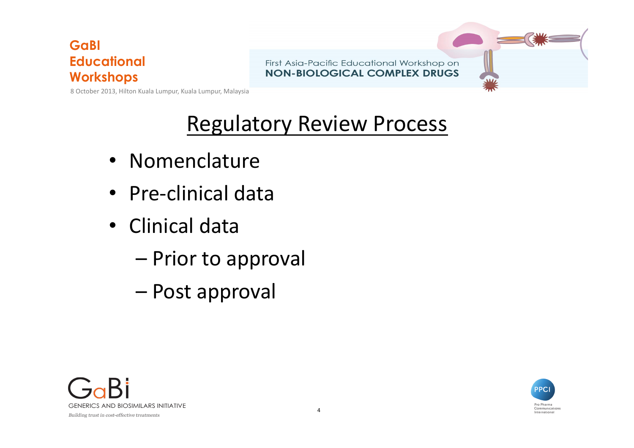First Asia-Pacific Educational Workshop on **NON-BIOLOGICAL COMPLEX DRUGS** 



8 October 2013, Hilton Kuala Lumpur, Kuala Lumpur, Malaysia

### **Regulatory Review Process**

- Nomenclature
- Pre-clinical data
- Clinical data
	- Prior to approval
	- – Post approval



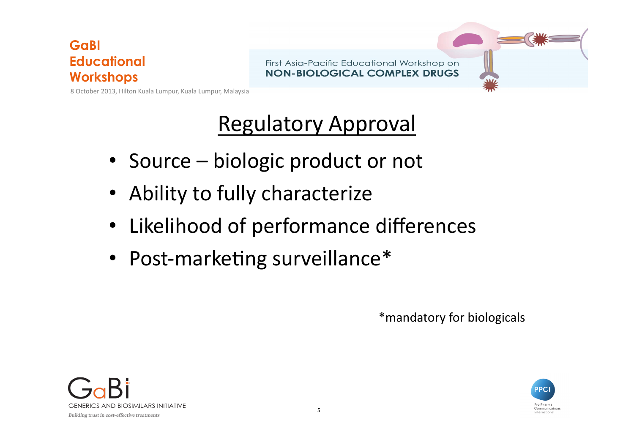First Asia-Pacific Educational Workshop on **NON-BIOLOGICAL COMPLEX DRUGS** 

8 October 2013, Hilton Kuala Lumpur, Kuala Lumpur, Malaysia

### Regulatory Approval

- Source biologic product or not
- Ability to fully characterize
- Likelihood of performance differences
- Post-marketing surveillance\*

\*mandatory for biologicals



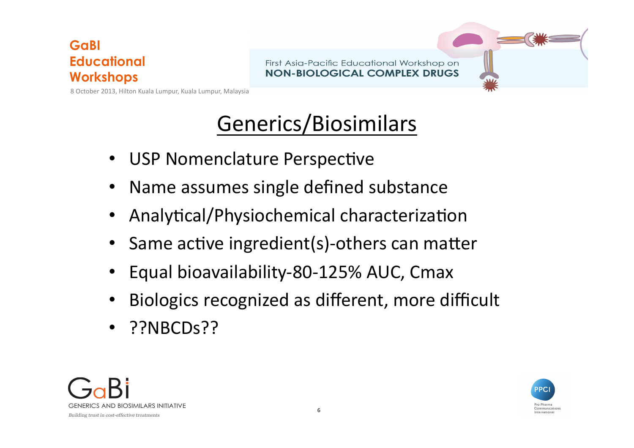First Asia-Pacific Educational Workshop on **NON-BIOLOGICAL COMPLEX DRUGS** 

8 October 2013, Hilton Kuala Lumpur, Kuala Lumpur, Malaysia

### Generics/Biosimilars

- USP Nomenclature Perspective
- Name assumes single defined substance
- Analytical/Physiochemical characterization
- Same active ingredient(s)-others can matter
- Equal bioavailability-80-125% AUC, Cmax
- Biologics recognized as different, more difficult
- ??NBCDs??



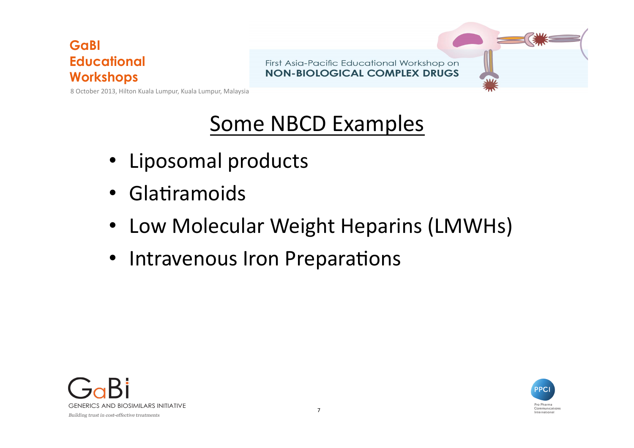First Asia-Pacific Educational Workshop on **NON-BIOLOGICAL COMPLEX DRUGS** 



8 October 2013, Hilton Kuala Lumpur, Kuala Lumpur, Malaysia

### Some NBCD Examples

- Liposomal products
- Glatiramoids
- Low Molecular Weight Heparins (LMWHs)
- Intravenous Iron Preparations



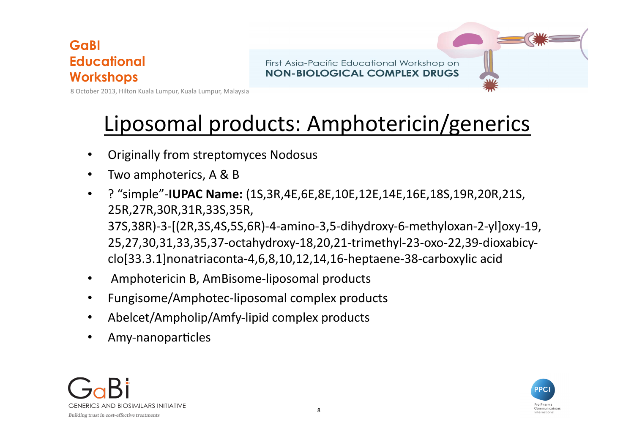First Asia-Pacific Educational Workshop on **NON-BIOLOGICAL COMPLEX DRUGS** 

8 October 2013, Hilton Kuala Lumpur, Kuala Lumpur, Malaysia

### Liposomal products: Amphotericin/generics

- Originally from streptomyces Nodosus
- Two amphoterics, A & B
- ? "simple"-**IUPAC Name:** (1S,3R,4E,6E,8E,10E,12E,14E,16E,18S,19R,20R,21S, 25R,27R,30R,31R,33S,35R, 37S,38R)-3-[(2R,3S,4S,5S,6R)-4-amino-3,5-dihydroxy-6-methyloxan-2-yl]oxy-19, 25,27,30,31,33,35,37-octahydroxy-18,20,21-trimethyl-23-oxo-22,39-dioxabicy clo[33.3.1]nonatriaconta-4,6,8,10,12,14,16-heptaene-38-carboxylic acid
- Amphotericin B, AmBisome-liposomal products
- Fungisome/Amphotec-liposomal complex products
- Abelcet/Ampholip/Amfy-lipid complex products
- Amy-nanoparticles



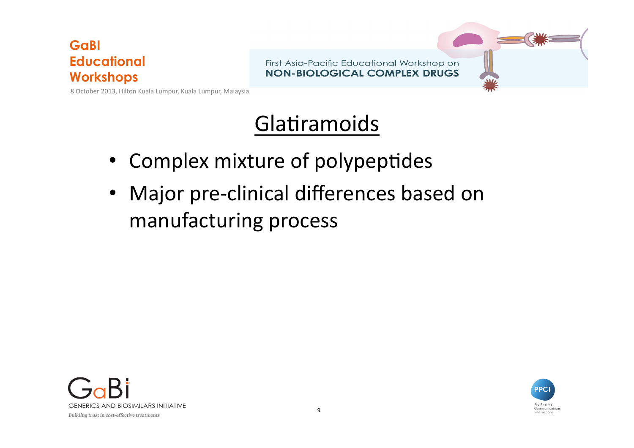First Asia-Pacific Educational Workshop on **NON-BIOLOGICAL COMPLEX DRUGS** 

8 October 2013, Hilton Kuala Lumpur, Kuala Lumpur, Malaysia

### Glatiramoids

- Complex mixture of polypeptides
- Major pre-clinical differences based on manufacturing process



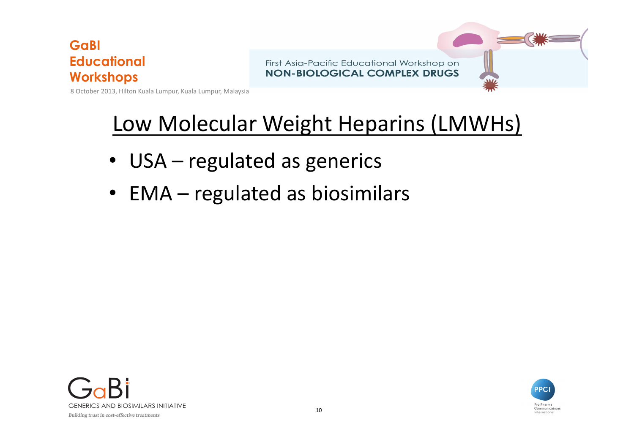First Asia-Pacific Educational Workshop on **NON-BIOLOGICAL COMPLEX DRUGS** 

8 October 2013, Hilton Kuala Lumpur, Kuala Lumpur, Malaysia

### Low Molecular Weight Heparins (LMWHs)

- USA regulated as generics
- EMA regulated as biosimilars



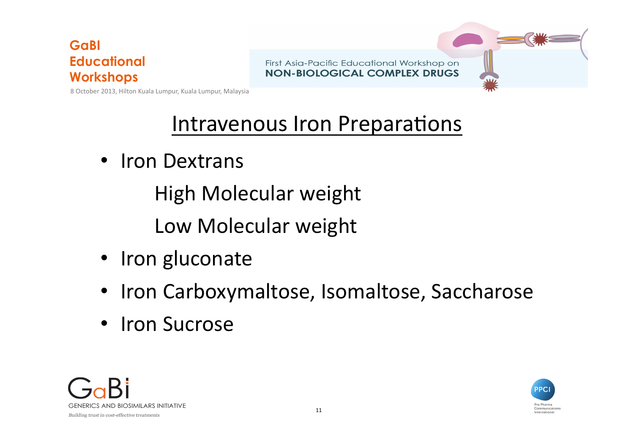First Asia-Pacific Educational Workshop on **NON-BIOLOGICAL COMPLEX DRUGS** 



8 October 2013, Hilton Kuala Lumpur, Kuala Lumpur, Malaysia

### Intravenous Iron Preparations

• Iron Dextrans

High Molecular weight

Low Molecular weight

- Iron gluconate
- Iron Carboxymaltose, Isomaltose, Saccharose
- Iron Sucrose



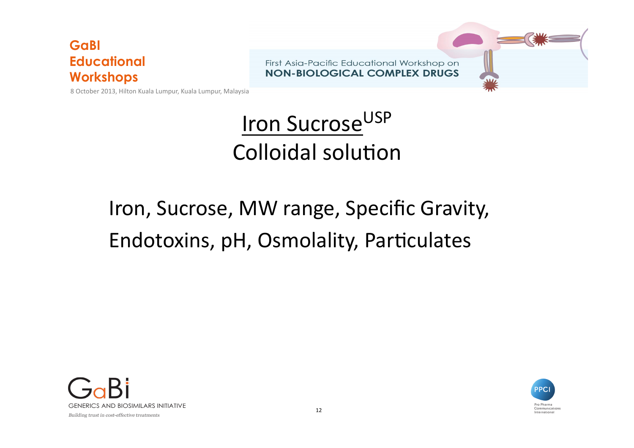First Asia-Pacific Educational Workshop on **NON-BIOLOGICAL COMPLEX DRUGS** 

8 October 2013, Hilton Kuala Lumpur, Kuala Lumpur, Malaysia

# **Iron Sucrose**USP Colloidal solution

## Iron, Sucrose, MW range, Specific Gravity, Endotoxins, pH, Osmolality, Particulates



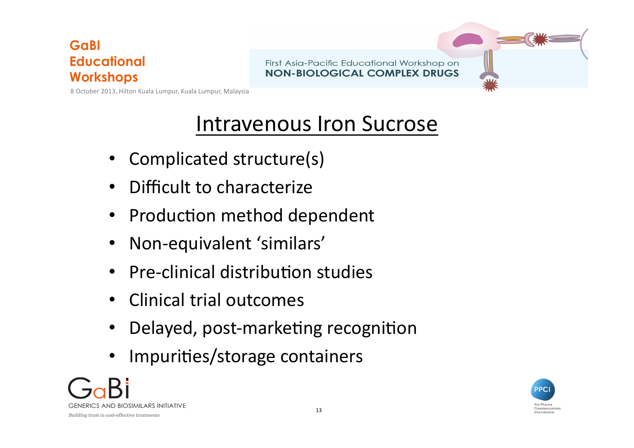First Asia-Pacific Educational Workshop on **NON-BIOLOGICAL COMPLEX DRUGS** 

8 October 2013, Hilton Kuala Lumpur, Kuala Lumpur, Malaysia

### Intravenous Iron Sucrose

- Complicated structure(s)
- Difficult to characterize
- Production method dependent
- Non-equivalent 'similars'
- Pre-clinical distribution studies
- Clinical trial outcomes
- Delayed, post-marketing recognition
- Impurities/storage containers